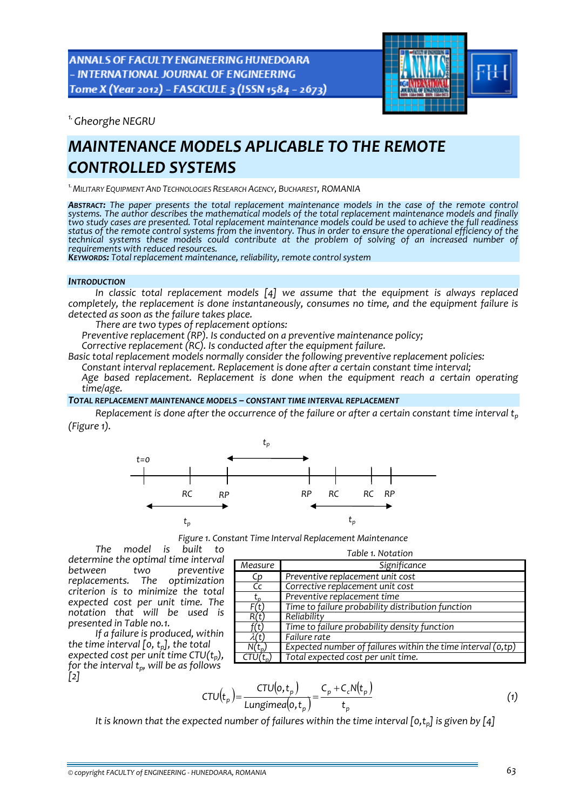**ANNALS OF FACULTY ENGINEERING HUNEDOARA** - INTERNATIONAL JOURNAL OF ENGINEERING Tome X (Year 2012) - FASCICULE 3 (ISSN 1584 - 2673)



*1.Gheorghe NEGRU* 

# *MAINTENANCE MODELS APLICABLE TO THE REMOTE CONTROLLED SYSTEMS*

*1.MILITARY EQUIPMENT AND TECHNOLOGIES RESEARCH AGENCY, BUCHAREST, ROMANIA*

*ABSTRACT: The paper presents the total replacement maintenance models in the case of the remote control systems. The author describes the mathematical models of the total replacement maintenance models and finally* two study cases are presented. Total replacement maintenance models could be used to achieve the full readiness status of the remote control systems from the inventory. Thus in order to ensure the operational efficiency of the *technical systems these models could contribute at the problem of solving of an increased number of*

*requirements with reduced resources. KEYWORDS: Total replacement maintenance, reliability, remote control system*

#### *INTRODUCTION*

*In classic total replacement models [4] we assume that the equipment is always replaced completely, the replacement is done instantaneously, consumes no time, and the equipment failure is detected as soon as the failure takes place.*

*There are two types of replacement options:*

*Preventive replacement (RP). Is conducted on a preventive maintenance policy;*

*Corrective replacement (RC). Is conducted after the equipment failure.*

*Basic total replacement models normally consider the following preventive replacement policies:*

*Constant interval replacement. Replacement is done after a certain constant time interval;*

 *Age based replacement. Replacement is done when the equipment reach a certain operating time/age.*

### *TOTAL REPLACEMENT MAINTENANCE MODELS – CONSTANT TIME INTERVAL REPLACEMENT*

Replacement is done after the occurrence of the failure or after a certain constant time interval  $t_n$ *(Figure 1).*



*Figure 1. Constant Time Interval Replacement Maintenance*

*The model is built to determine the optimal time interval between two preventive replacements. The optimization criterion is to minimize the total expected cost per unit time. The notation that will be used is presented in Table no.1.*

*If a failure is produced, within the time interval [0, tp], the total expected cost per unit time CTU*( $t<sub>p</sub>$ ), *for the interval tp, will be as follows [2]*

| Table 1. Notation         |                                                                |  |  |  |  |
|---------------------------|----------------------------------------------------------------|--|--|--|--|
| Measure                   | Significance                                                   |  |  |  |  |
| Cp                        | Preventive replacement unit cost                               |  |  |  |  |
| Cc                        | Corrective replacement unit cost                               |  |  |  |  |
| $\mathsf{r}_{\mathsf{n}}$ | Preventive replacement time                                    |  |  |  |  |
| F(t)                      | Time to failure probability distribution function              |  |  |  |  |
| R(t)                      | Reliability                                                    |  |  |  |  |
| t                         | Time to failure probability density function                   |  |  |  |  |
| Ut l                      | Failure rate                                                   |  |  |  |  |
| $N(t_n)$                  | Expected number of failures within the time interval $(o, tp)$ |  |  |  |  |
|                           | Total expected cost per unit time.                             |  |  |  |  |

$$
CTU(t_p) = \frac{CTU(o, t_p)}{\text{Lungimea}(o, t_p)} = \frac{C_p + C_cN(t_p)}{t_p}
$$
 (1)

*It is known that the expected number of failures within the time interval [0,tp] is given by [4]*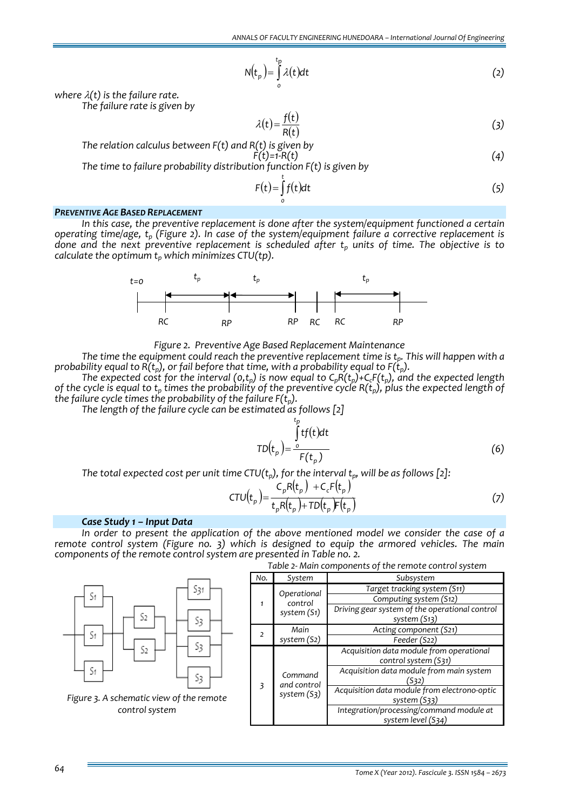$$
N(t_p) = \int_{0}^{t_p} \lambda(t)dt
$$
 (2)

*where* λ*(t) is the failure rate.*

*The failure rate is given by*

$$
\lambda(t) = \frac{f(t)}{R(t)}\tag{3}
$$

*The relation calculus between F(t) and R(t) is given by*

$$
F(t)=1-R(t) \tag{4}
$$

*The time to failure probability distribution function F(t) is given by* 

$$
F(t) = \int_{0}^{t} f(t)dt
$$
 (5)

#### *PREVENTIVE AGE BASED REPLACEMENT*

*In this case, the preventive replacement is done after the system/equipment functioned a certain operating time/age, tp (Figure 2). In case of the system/equipment failure a corrective replacement is done and the next preventive replacement is scheduled after tp units of time. The objective is to calculate the optimum*  $t<sub>p</sub>$  *which minimizes CTU(tp).* 



*Figure 2. Preventive Age Based Replacement Maintenance*

*The time the equipment could reach the preventive replacement time is tp. This will happen with a probability equal to*  $\overline{R}(t_p)$ , *or fail before that time*, *with a probability equal to*  $F(t_p)$ .

*The* expected cost for the interval  $(o,t_p)$  is now equal to  $C_pR(t_p)+C_cF(t_p)$ , and the expected length of the cycle is equal to  $t_p$  times the probability of the preventive cycle  $R(t_p)$ , plus the expected length of *the failure cycle times the probability of the failure*  $F(t_n)$ *.* 

*The length of the failure cycle can be estimated as follows [2]*

$$
TD(t_p) = \frac{\int_{0}^{t_p} tf(t)dt}{F(t_p)}
$$
\n(6)

*The total expected cost per unit time CTU*( $t<sub>p</sub>$ ), *for the interval*  $t<sub>p</sub>$ , *will be as follows* [2]:

$$
CTU(t_p) = \frac{C_p R(t_p) + C_c F(t_p)}{t_p R(t_p) + TD(t_p) F(t_p)}
$$
\n(7)

# *Case Study 1 – Input Data*

*In order to present the application of the above mentioned model we consider the case of a remote control system (Figure no. 3) which is designed to equip the armored vehicles. The main components of the remote control system are presented in Table no. 2.*

|                                          | Table 2- Mail Components of the remote control system |                                       |                                                                  |  |  |
|------------------------------------------|-------------------------------------------------------|---------------------------------------|------------------------------------------------------------------|--|--|
|                                          | No.                                                   | System                                | Subsystem                                                        |  |  |
| 531                                      |                                                       | Operational<br>control<br>system (S1) | Target tracking system (S11)                                     |  |  |
| S1                                       |                                                       |                                       | Computing system (S12)                                           |  |  |
| S2<br>S3                                 |                                                       |                                       | Driving gear system of the operational control<br>system (S13)   |  |  |
| S1                                       |                                                       | Main                                  | Acting component (S21)                                           |  |  |
|                                          | 2                                                     | system (S2)                           | Feeder (S22)                                                     |  |  |
| S3<br>S2                                 | $\overline{\mathbf{3}}$                               | Command<br>and control<br>system (S3) | Acquisition data module from operational<br>control system (S31) |  |  |
| S1<br>S3                                 |                                                       |                                       | Acquisition data module from main system<br>(S32)                |  |  |
| Figure 3. A schematic view of the remote |                                                       |                                       | Acquisition data module from electrono-optic<br>system (S33)     |  |  |
| control system                           |                                                       |                                       | Integration/processing/command module at<br>system level (S34)   |  |  |

*Table 2‐ Main components of the remote control system*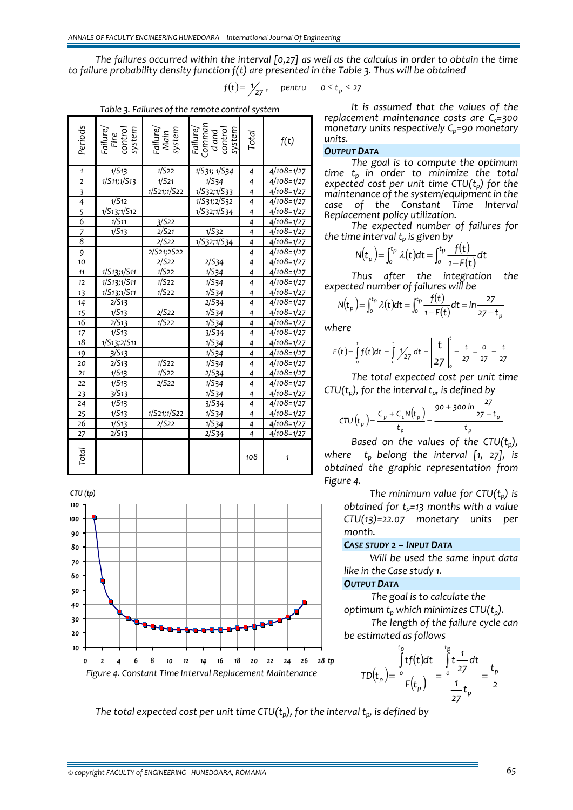The failures occurred within the interval [0.27] as well as the calculus in order to obtain the time *to failure probability density function f(t) are presented in the Table 3. Thus will be obtained*

$$
f(t) = \frac{1}{27}, \quad \text{pentru} \quad o \le t_p \le 27
$$

*Table 3. Failures of the remote control system*

| Periods                 | Failure/<br>Fire<br>control<br>system | <sup>-</sup> ailure/<br>Main<br>system | Failure/<br>Comman<br>d and<br>control<br>system | Total          | f(t)                   |
|-------------------------|---------------------------------------|----------------------------------------|--------------------------------------------------|----------------|------------------------|
| $\mathbf{1}$            | 1/S13                                 | 1/522                                  | 1/S31; 1/S34                                     | 4              | 4/108=1/27             |
| $\overline{2}$          | 1/S11;1/S13                           | 1/521                                  | 1/534                                            | 4              | $4/108=1/27$           |
| $\overline{\mathbf{3}}$ |                                       | 1/S21;1/S22                            | 1/S32;1/S33                                      | $\overline{4}$ | $4/108=1/27$           |
| $\overline{4}$          | 1/512                                 |                                        | 1/S31;2/S32                                      | 4              | $4/108=1/27$           |
| 5                       | 1/S13;1/S12                           |                                        | 1/S32;1/S34                                      | 4              | $4/108=1/27$           |
| 6                       | 1/511                                 | 3/522                                  |                                                  | $\overline{4}$ | $4/108=1/27$           |
| 7                       | 1/513                                 | 2/521                                  | 1/532                                            | $\overline{4}$ | $4/108=1/27$           |
| $\overline{8}$          |                                       | 2/522                                  | 1/S32;1/S34                                      | $\overline{4}$ | $4/108=1/27$           |
| 9                       |                                       | 2/S21;2S22                             |                                                  | $\overline{4}$ | $4/108=1/27$           |
| 10                      |                                       | 2/522                                  | 2/S34                                            | $\overline{4}$ | $4/108=1/27$           |
| 11                      | 1/S13;1/S11                           | 1/522                                  | 1/534                                            | $\overline{4}$ | $4/108=1/27$           |
| 12                      | 1/S13;1/S11                           | 1/522                                  | 1/534                                            | 4              | $4/108=1/27$           |
| 13                      | 1/S13;1/S11                           | 1/522                                  | 1/534                                            | $\overline{4}$ | $4/108=1/27$           |
| 14                      | 2/513                                 |                                        | 2/S34                                            | $\overline{4}$ | $4/108=1/27$           |
| 15                      | 1/513                                 | 2/522                                  | 1/534                                            | $\overline{4}$ | $4/108=1/27$           |
| 16                      | 2/S13                                 | 1/522                                  | 1/S34                                            | $\overline{4}$ | 4/108=1/27             |
| 17                      | 1/S13                                 |                                        | 3/S34                                            | $\overline{4}$ | $4/108=1/27$           |
| 18                      | 1/S13;2/S11                           |                                        | 1/S34                                            | $\overline{4}$ | $4/108=1/27$           |
| 19                      | 3/513                                 |                                        | 1/S34                                            | $\overline{4}$ | $4/108=1/27$           |
| 20                      | 2/513                                 | 1/522                                  | 1/534                                            | $\overline{4}$ | $4/108=1/27$           |
| 21                      | 1/S13                                 | 1/522                                  | 2/534                                            | $\overline{4}$ | $\frac{1}{4}$ 108=1/27 |
| 22                      | 1/513                                 | 2/522                                  | 1/S34                                            | $\overline{4}$ | $4/108=1/27$           |
| 23                      | 3/513                                 |                                        | 1/534                                            | $\overline{4}$ | 4/108=1/27             |
| 24                      | 1/513                                 |                                        | 3/S34                                            | $\overline{4}$ | 4/108=1/27             |
| 25                      | 1/513                                 | 1/521;1/522                            | 1/534                                            | $\overline{4}$ | 4/108=1/27             |
| 26                      | 1/S13                                 | 2/522                                  | 1/S34                                            | $\overline{4}$ | $4/108=1/27$           |
| 27                      | 2/513                                 |                                        | 2/534                                            | $\overline{4}$ | $4/108=1/27$           |
| Total                   |                                       |                                        |                                                  | 108            | $\mathbf{1}$           |



*It is assumed that the values of the replacement maintenance costs are Cc=300 monetary units respectively Cp=90 monetary units.* 

#### *OUTPUT DATA*

*The goal is to compute the optimum time tp in order to minimize the total expected cost per unit time*  $CTU(t_p)$  *for the maintenance of the system/equipment in the case of the Constant Time Interval Replacement policy utilization.*

*The expected number of failures for the time interval tp is given by*

$$
N(t_p) = \int_0^{t_p} \lambda(t) dt = \int_0^{t_p} \frac{f(t)}{1 - F(t)} dt
$$

*Thus after the integration the expected number of failures will be* 

$$
N(t_p) = \int_0^{t_p} \lambda(t)dt = \int_0^{t_p} \frac{f(t)}{1 - F(t)} dt = \ln \frac{27}{27 - t_p}
$$

*where*

$$
F(t) = \int_{0}^{t} f(t)dt = \int_{0}^{t} \frac{1}{27} \, dt = \left| \frac{t}{27} \right|_{0}^{t} = \frac{t}{27} - \frac{0}{27} = \frac{t}{27}
$$

*The total expected cost per unit time CTU(t<sub>p</sub>), for the interval*  $t_p$ , *is defined by* 

CTU 
$$
(t_p)
$$
 =  $\frac{C_p + C_c N(t_p)}{t_p}$  =  $\frac{90 + 300 \ln \frac{27}{27 - t_p}}{t_p}$ 

*Based on the values of the CTU(t<sub>p</sub>)*, *where*  $t_p$  *belong the interval* [1, 27], *is obtained the graphic representation from Figure 4.*

> *The minimum value for*  $CTU(t_p)$  *is obtained for tp=13 months with a value CTU(13)=22.07 monetary units per month.*

# *CASE STUDY 2 – INPUT DATA*

*Will be used the same input data like in the Case study 1.*

#### *OUTPUT DATA*

*The goal is to calculate the optimum*  $t_p$  *which minimizes*  $CTU(t_p)$ . *The length of the failure cycle can be estimated as follows*

$$
TD(t_p) = \frac{\int_{0}^{t_p} tf(t)dt}{F(t_p)} = \frac{\int_{0}^{t_p} t \frac{1}{27} dt}{\frac{1}{27}t_p} = \frac{t_p}{2}
$$

*The total expected cost per unit time CTU(t<sub>p</sub>)*, *for the interval t<sub>p</sub>*, *is defined by*